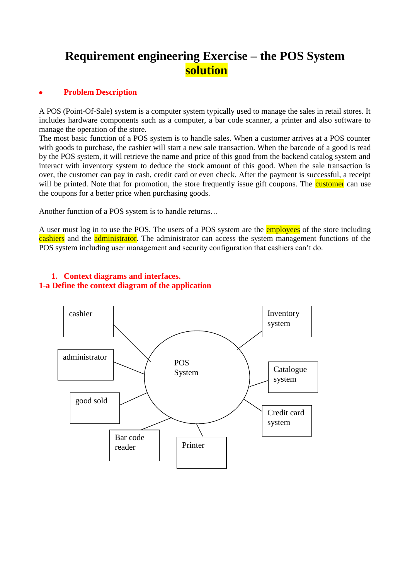# **Requirement engineering Exercise – the POS System solution**

#### **Problem Description**

A POS (Point-Of-Sale) system is a computer system typically used to manage the sales in retail stores. It includes hardware components such as a computer, a bar code scanner, a printer and also software to manage the operation of the store.

The most basic function of a POS system is to handle sales. When a customer arrives at a POS counter with goods to purchase, the cashier will start a new sale transaction. When the barcode of a good is read by the POS system, it will retrieve the name and price of this good from the backend catalog system and interact with inventory system to deduce the stock amount of this good. When the sale transaction is over, the customer can pay in cash, credit card or even check. After the payment is successful, a receipt will be printed. Note that for promotion, the store frequently issue gift coupons. The **customer** can use the coupons for a better price when purchasing goods.

Another function of a POS system is to handle returns…

A user must log in to use the POS. The users of a POS system are the employees of the store including cashiers and the administrator. The administrator can access the system management functions of the POS system including user management and security configuration that cashiers can't do.



## **1. Context diagrams and interfaces. 1-a Define the context diagram of the application**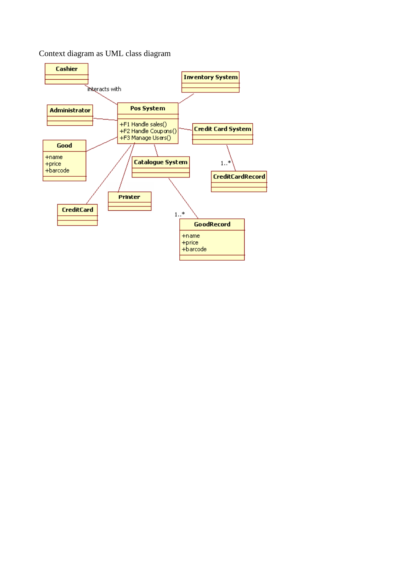Context diagram as UML class diagram

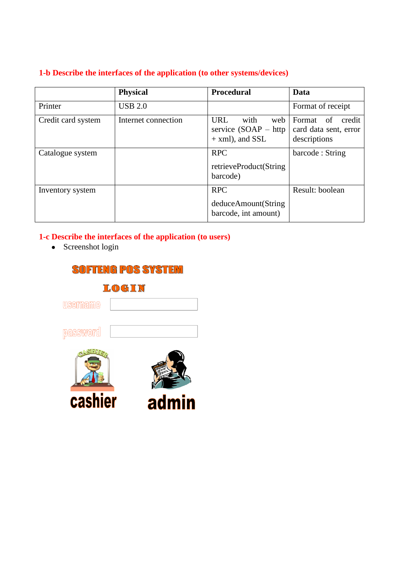## **1-b Describe the interfaces of the application (to other systems/devices)**

|                    | <b>Physical</b>     | <b>Procedural</b>                                                         | Data                                                            |
|--------------------|---------------------|---------------------------------------------------------------------------|-----------------------------------------------------------------|
| Printer            | <b>USB 2.0</b>      |                                                                           | Format of receipt                                               |
| Credit card system | Internet connection | <b>URL</b><br>with<br>web<br>service $(SOAP - http)$<br>$+$ xml), and SSL | Format<br>credit<br>of<br>card data sent, error<br>descriptions |
| Catalogue system   |                     | <b>RPC</b><br>retrieveProduct(String<br>barcode)                          | barcode: String                                                 |
| Inventory system   |                     | <b>RPC</b><br>deduceAmount(String<br>barcode, int amount)                 | Result: boolean                                                 |

## **1-c Describe the interfaces of the application (to users)**

• Screenshot login

| <b>SOFTENG POS SYSTEM</b> |       |  |  |
|---------------------------|-------|--|--|
| LOGIN                     |       |  |  |
| username                  |       |  |  |
| password                  |       |  |  |
|                           |       |  |  |
| cashier                   | admin |  |  |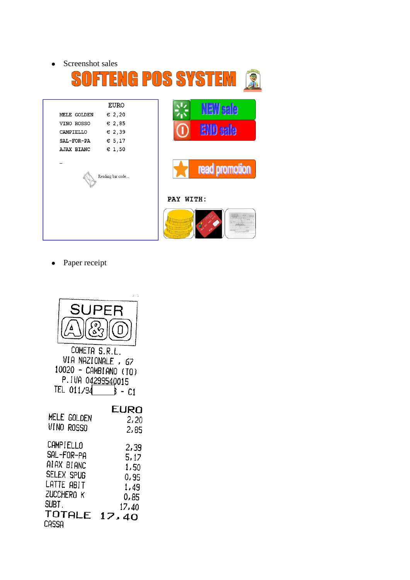Screenshot sales  $\bullet$ 

| SOFI                             | <b>TENG POS SYS</b>     |  |  |
|----------------------------------|-------------------------|--|--|
| EURO                             | <b>NEW sale</b>         |  |  |
| $\epsilon$ 2,20<br>MELE GOLDEN   |                         |  |  |
| $\varepsilon$ 2,85<br>VINO ROSSO |                         |  |  |
| $\epsilon$ 2,39<br>CAMPIELLO     | <b>END sale</b>         |  |  |
| € 5,17<br>SAL-FOR-PA             |                         |  |  |
| $\epsilon$ 1,50<br>AJAX BIANC    |                         |  |  |
| Reading bar code                 | read promotion          |  |  |
| PAY WITH:                        |                         |  |  |
|                                  | 83322<br>SUPARTY MITTLE |  |  |

• Paper receipt

| SUPER<br>∞,                      |               |
|----------------------------------|---------------|
|                                  |               |
| COMETA S.R.L.<br>VIA NAZIONALE , | 67            |
| 10020 -<br>P.IVA 04299540015     | CAMBIANO (TO) |
| TEL 011/94                       | ķ<br>$-C1$    |
|                                  | EURO          |
| MELE GOLDEN                      | 2,20          |
| VINO ROSSO                       | 2,85          |
| CAMPIELLO                        | 2,39          |
| SAL-FOR-PA                       | 5, 17         |
| atax bianc                       | 1,50          |
| SELEX SPUG                       | 0,95          |
| LATTE ABIT                       | 1,49          |
| ZUCCHERO K                       | 0,85          |
| SUBT.                            | 17,40         |
| TOTALE                           | 17            |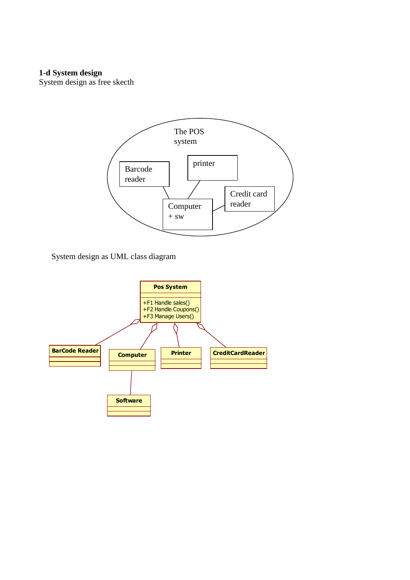#### **1-d System design**

System design as free skecth



System design as UML class diagram

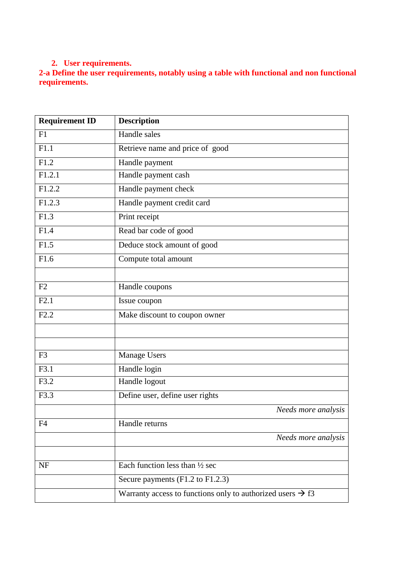#### **2. User requirements.**

**2-a Define the user requirements, notably using a table with functional and non functional requirements.** 

| <b>Requirement ID</b> | <b>Description</b>                                                     |
|-----------------------|------------------------------------------------------------------------|
| F1                    | Handle sales                                                           |
| $\overline{F1.1}$     | Retrieve name and price of good                                        |
| F1.2                  | Handle payment                                                         |
| F1.2.1                | Handle payment cash                                                    |
| F1.2.2                | Handle payment check                                                   |
| F1.2.3                | Handle payment credit card                                             |
| F1.3                  | Print receipt                                                          |
| F1.4                  | Read bar code of good                                                  |
| F1.5                  | Deduce stock amount of good                                            |
| F1.6                  | Compute total amount                                                   |
|                       |                                                                        |
| F2                    | Handle coupons                                                         |
| F2.1                  | Issue coupon                                                           |
| F2.2                  | Make discount to coupon owner                                          |
|                       |                                                                        |
|                       |                                                                        |
| F <sub>3</sub>        | <b>Manage Users</b>                                                    |
| F3.1                  | Handle login                                                           |
| F3.2                  | Handle logout                                                          |
| F3.3                  | Define user, define user rights                                        |
|                       | Needs more analysis                                                    |
| F4                    | Handle returns                                                         |
|                       | Needs more analysis                                                    |
|                       |                                                                        |
| NF                    | Each function less than 1/2 sec                                        |
|                       | Secure payments (F1.2 to F1.2.3)                                       |
|                       | Warranty access to functions only to authorized users $\rightarrow$ f3 |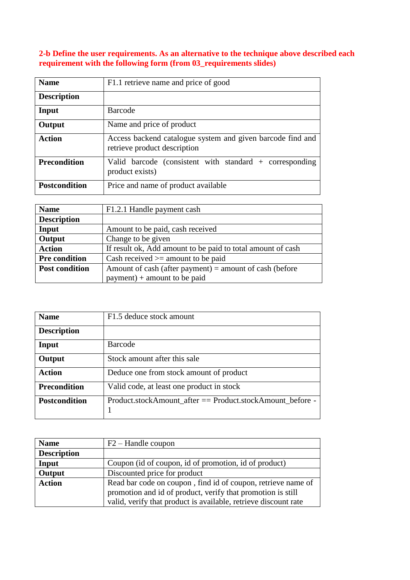## **2-b Define the user requirements. As an alternative to the technique above described each requirement with the following form (from 03\_requirements slides)**

| <b>Name</b>          | F1.1 retrieve name and price of good                                                       |
|----------------------|--------------------------------------------------------------------------------------------|
| <b>Description</b>   |                                                                                            |
| Input                | Barcode                                                                                    |
| Output               | Name and price of product                                                                  |
| <b>Action</b>        | Access backend catalogue system and given barcode find and<br>retrieve product description |
| <b>Precondition</b>  | Valid barcode (consistent with standard $+$ corresponding<br>product exists)               |
| <b>Postcondition</b> | Price and name of product available                                                        |

| <b>Name</b>           | F1.2.1 Handle payment cash                                  |  |
|-----------------------|-------------------------------------------------------------|--|
| <b>Description</b>    |                                                             |  |
| Input                 | Amount to be paid, cash received                            |  |
| Output                | Change to be given                                          |  |
| <b>Action</b>         | If result ok, Add amount to be paid to total amount of cash |  |
| <b>Pre condition</b>  | Cash received $\geq$ amount to be paid                      |  |
| <b>Post condition</b> | Amount of cash (after payment) = amount of cash (before     |  |
|                       | $payment$ ) + amount to be paid                             |  |

| <b>Name</b>          | F1.5 deduce stock amount                                  |
|----------------------|-----------------------------------------------------------|
| <b>Description</b>   |                                                           |
| Input                | Barcode                                                   |
| Output               | Stock amount after this sale                              |
| <b>Action</b>        | Deduce one from stock amount of product                   |
| <b>Precondition</b>  | Valid code, at least one product in stock                 |
| <b>Postcondition</b> | Product.stockAmount after == Product.stockAmount before - |

| <b>Name</b>        | $F2 - H$ and le coupon                                          |
|--------------------|-----------------------------------------------------------------|
| <b>Description</b> |                                                                 |
| Input              | Coupon (id of coupon, id of promotion, id of product)           |
| Output             | Discounted price for product                                    |
| <b>Action</b>      | Read bar code on coupon, find id of coupon, retrieve name of    |
|                    | promotion and id of product, verify that promotion is still     |
|                    | valid, verify that product is available, retrieve discount rate |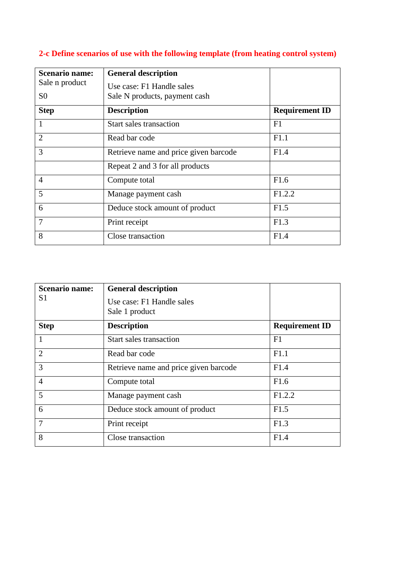| <b>Scenario name:</b><br>Sale n product | <b>General description</b>                                 |                       |
|-----------------------------------------|------------------------------------------------------------|-----------------------|
| S <sub>0</sub>                          | Use case: F1 Handle sales<br>Sale N products, payment cash |                       |
| <b>Step</b>                             | <b>Description</b>                                         | <b>Requirement ID</b> |
| 1                                       | <b>Start sales transaction</b>                             | F1                    |
| $\overline{2}$                          | Read bar code                                              | F1.1                  |
| 3                                       | Retrieve name and price given barcode                      | F1.4                  |
|                                         | Repeat 2 and 3 for all products                            |                       |
| $\overline{4}$                          | Compute total                                              | F1.6                  |
| 5                                       | Manage payment cash                                        | F1.2.2                |
| 6                                       | Deduce stock amount of product                             | F1.5                  |
| $\overline{7}$                          | Print receipt                                              | F1.3                  |
| 8                                       | Close transaction                                          | F1.4                  |

## **2-c Define scenarios of use with the following template (from heating control system)**

| <b>Scenario name:</b><br>S1 | <b>General description</b><br>Use case: F1 Handle sales<br>Sale 1 product |                       |
|-----------------------------|---------------------------------------------------------------------------|-----------------------|
| <b>Step</b>                 | <b>Description</b>                                                        | <b>Requirement ID</b> |
| $\mathbf{1}$                | Start sales transaction                                                   | F1                    |
| $\overline{2}$              | Read bar code                                                             | F1.1                  |
| 3                           | Retrieve name and price given barcode                                     | F1.4                  |
| $\overline{4}$              | Compute total                                                             | F1.6                  |
| 5                           | Manage payment cash                                                       | F1.2.2                |
| 6                           | Deduce stock amount of product                                            | F1.5                  |
| $\overline{7}$              | Print receipt                                                             | F1.3                  |
| 8                           | Close transaction                                                         | F1.4                  |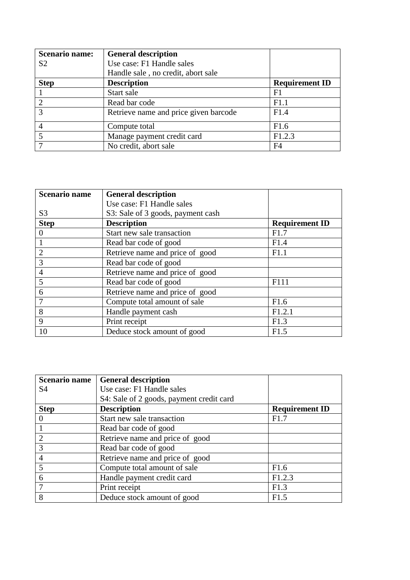| <b>Scenario name:</b> | <b>General description</b>            |                       |
|-----------------------|---------------------------------------|-----------------------|
| S <sub>2</sub>        | Use case: F1 Handle sales             |                       |
|                       | Handle sale, no credit, abort sale    |                       |
| <b>Step</b>           | <b>Description</b>                    | <b>Requirement ID</b> |
|                       | Start sale                            | F1                    |
| $\overline{2}$        | Read bar code                         | F1.1                  |
| 3                     | Retrieve name and price given barcode | F1.4                  |
| $\overline{4}$        | Compute total                         | F1.6                  |
|                       | Manage payment credit card            | F1.2.3                |
|                       | No credit, abort sale                 | F4                    |

| <b>Scenario name</b> | <b>General description</b>        |                       |
|----------------------|-----------------------------------|-----------------------|
|                      | Use case: F1 Handle sales         |                       |
| S <sub>3</sub>       | S3: Sale of 3 goods, payment cash |                       |
| <b>Step</b>          | <b>Description</b>                | <b>Requirement ID</b> |
| $\Omega$             | Start new sale transaction        | F1.7                  |
|                      | Read bar code of good             | F1.4                  |
| $\overline{2}$       | Retrieve name and price of good   | F1.1                  |
| 3                    | Read bar code of good             |                       |
| $\overline{4}$       | Retrieve name and price of good   |                       |
| 5                    | Read bar code of good             | F111                  |
| 6                    | Retrieve name and price of good   |                       |
| 7                    | Compute total amount of sale      | F1.6                  |
| 8                    | Handle payment cash               | F1.2.1                |
| 9                    | Print receipt                     | F1.3                  |
| 10                   | Deduce stock amount of good       | F1.5                  |

| Scenario name  | <b>General description</b>               |                       |
|----------------|------------------------------------------|-----------------------|
| <b>S4</b>      | Use case: F1 Handle sales                |                       |
|                | S4: Sale of 2 goods, payment credit card |                       |
| <b>Step</b>    | <b>Description</b>                       | <b>Requirement ID</b> |
|                | Start new sale transaction               | F1.7                  |
|                | Read bar code of good                    |                       |
| $\overline{2}$ | Retrieve name and price of good          |                       |
| 3              | Read bar code of good                    |                       |
| $\overline{4}$ | Retrieve name and price of good          |                       |
| 5              | Compute total amount of sale             | F1.6                  |
| 6              | Handle payment credit card               | F1.2.3                |
| 7              | Print receipt                            | F1.3                  |
| 8              | Deduce stock amount of good              | F1.5                  |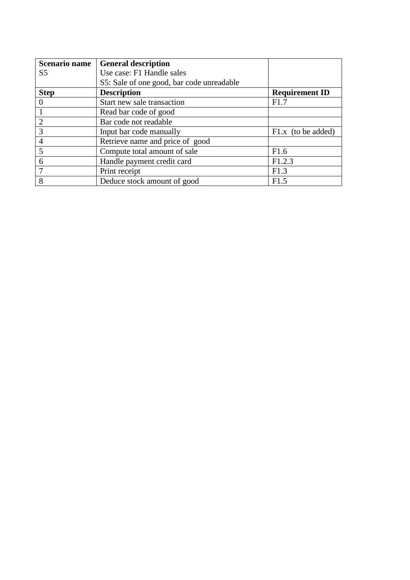| <b>Scenario name</b> | <b>General description</b>                |                       |
|----------------------|-------------------------------------------|-----------------------|
| S <sub>5</sub>       | Use case: F1 Handle sales                 |                       |
|                      | S5: Sale of one good, bar code unreadable |                       |
| <b>Step</b>          | <b>Description</b>                        | <b>Requirement ID</b> |
| $\theta$             | Start new sale transaction                | F1.7                  |
|                      | Read bar code of good                     |                       |
| $\overline{2}$       | Bar code not readable                     |                       |
| 3                    | Input bar code manually                   | $F1.x$ (to be added)  |
| $\overline{4}$       | Retrieve name and price of good           |                       |
| 5                    | Compute total amount of sale              | F1.6                  |
| 6                    | Handle payment credit card                | F1.2.3                |
|                      | Print receipt                             | F1.3                  |
| 8                    | Deduce stock amount of good               | F1.5                  |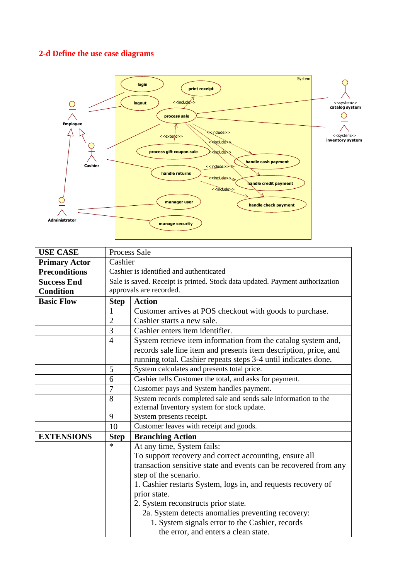## **2-d Define the use case diagrams**



| <b>USE CASE</b>      |                                                                              | <b>Process Sale</b>                                              |  |
|----------------------|------------------------------------------------------------------------------|------------------------------------------------------------------|--|
| <b>Primary Actor</b> | Cashier                                                                      |                                                                  |  |
| <b>Preconditions</b> | Cashier is identified and authenticated                                      |                                                                  |  |
| <b>Success End</b>   | Sale is saved. Receipt is printed. Stock data updated. Payment authorization |                                                                  |  |
| <b>Condition</b>     | approvals are recorded.                                                      |                                                                  |  |
| <b>Basic Flow</b>    | <b>Step</b>                                                                  | <b>Action</b>                                                    |  |
|                      | 1                                                                            | Customer arrives at POS checkout with goods to purchase.         |  |
|                      | $\overline{2}$                                                               | Cashier starts a new sale.                                       |  |
|                      | 3                                                                            | Cashier enters item identifier.                                  |  |
|                      | $\overline{4}$                                                               | System retrieve item information from the catalog system and,    |  |
|                      |                                                                              | records sale line item and presents item description, price, and |  |
|                      |                                                                              | running total. Cashier repeats steps 3-4 until indicates done.   |  |
|                      | 5                                                                            | System calculates and presents total price.                      |  |
|                      | 6                                                                            | Cashier tells Customer the total, and asks for payment.          |  |
|                      | 7                                                                            | Customer pays and System handles payment.                        |  |
|                      | 8                                                                            | System records completed sale and sends sale information to the  |  |
|                      |                                                                              | external Inventory system for stock update.                      |  |
|                      | 9                                                                            | System presents receipt.                                         |  |
|                      | 10                                                                           | Customer leaves with receipt and goods.                          |  |
| <b>EXTENSIONS</b>    | <b>Step</b>                                                                  | <b>Branching Action</b>                                          |  |
|                      | $\ast$                                                                       | At any time, System fails:                                       |  |
|                      |                                                                              | To support recovery and correct accounting, ensure all           |  |
|                      |                                                                              | transaction sensitive state and events can be recovered from any |  |
|                      |                                                                              | step of the scenario.                                            |  |
|                      |                                                                              | 1. Cashier restarts System, logs in, and requests recovery of    |  |
|                      |                                                                              | prior state.                                                     |  |
|                      |                                                                              | 2. System reconstructs prior state.                              |  |
|                      |                                                                              | 2a. System detects anomalies preventing recovery:                |  |
|                      |                                                                              | 1. System signals error to the Cashier, records                  |  |
|                      |                                                                              | the error, and enters a clean state.                             |  |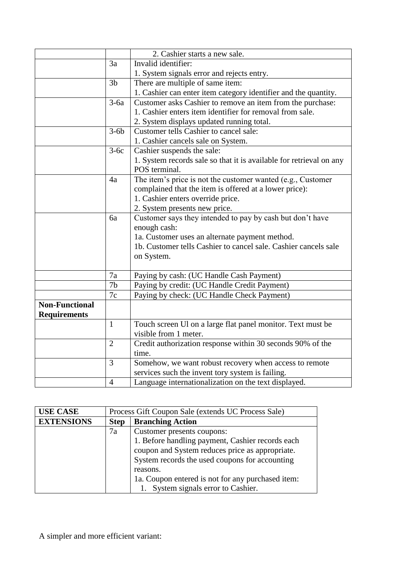|                       |                | 2. Cashier starts a new sale.                                       |
|-----------------------|----------------|---------------------------------------------------------------------|
|                       | 3a             | Invalid identifier:                                                 |
|                       |                | 1. System signals error and rejects entry.                          |
|                       | 3 <sub>b</sub> | There are multiple of same item:                                    |
|                       |                | 1. Cashier can enter item category identifier and the quantity.     |
|                       | $3-6a$         | Customer asks Cashier to remove an item from the purchase:          |
|                       |                | 1. Cashier enters item identifier for removal from sale.            |
|                       |                | 2. System displays updated running total.                           |
|                       | $3-6b$         | Customer tells Cashier to cancel sale:                              |
|                       |                | 1. Cashier cancels sale on System.                                  |
|                       | $3-6c$         | Cashier suspends the sale:                                          |
|                       |                | 1. System records sale so that it is available for retrieval on any |
|                       |                | POS terminal.                                                       |
|                       | 4a             | The item's price is not the customer wanted (e.g., Customer         |
|                       |                | complained that the item is offered at a lower price):              |
|                       |                | 1. Cashier enters override price.                                   |
|                       |                | 2. System presents new price.                                       |
|                       | 6a             | Customer says they intended to pay by cash but don't have           |
|                       |                | enough cash:                                                        |
|                       |                | 1a. Customer uses an alternate payment method.                      |
|                       |                | 1b. Customer tells Cashier to cancel sale. Cashier cancels sale     |
|                       |                | on System.                                                          |
|                       |                |                                                                     |
|                       | 7a             | Paying by cash: (UC Handle Cash Payment)                            |
|                       | 7 <sub>b</sub> | Paying by credit: (UC Handle Credit Payment)                        |
|                       | 7c             | Paying by check: (UC Handle Check Payment)                          |
| <b>Non-Functional</b> |                |                                                                     |
| <b>Requirements</b>   |                |                                                                     |
|                       | $\mathbf{1}$   | Touch screen Ul on a large flat panel monitor. Text must be         |
|                       |                | visible from 1 meter.                                               |
|                       | $\overline{2}$ | Credit authorization response within 30 seconds 90% of the          |
|                       |                | time.                                                               |
|                       | $\overline{3}$ | Somehow, we want robust recovery when access to remote              |
|                       |                | services such the invent tory system is failing.                    |
|                       | $\overline{4}$ | Language internationalization on the text displayed.                |

| <b>USE CASE</b>   | Process Gift Coupon Sale (extends UC Process Sale) |                                                                                                                                                       |
|-------------------|----------------------------------------------------|-------------------------------------------------------------------------------------------------------------------------------------------------------|
| <b>EXTENSIONS</b> | <b>Step</b>                                        | <b>Branching Action</b>                                                                                                                               |
|                   | 7a                                                 | Customer presents coupons:                                                                                                                            |
|                   |                                                    | 1. Before handling payment, Cashier records each<br>coupon and System reduces price as appropriate.<br>System records the used coupons for accounting |
|                   |                                                    | reasons.                                                                                                                                              |
|                   |                                                    | 1a. Coupon entered is not for any purchased item:                                                                                                     |
|                   |                                                    | System signals error to Cashier.                                                                                                                      |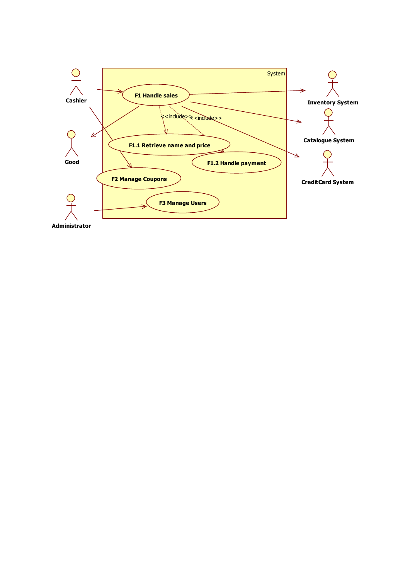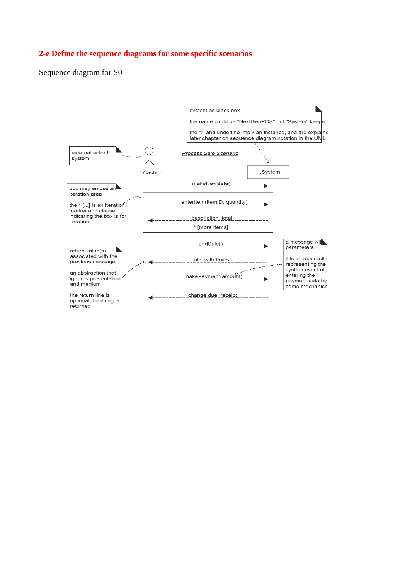#### **2-e Define the sequence diagrams for some specific scenarios**

Sequence diagram for S0

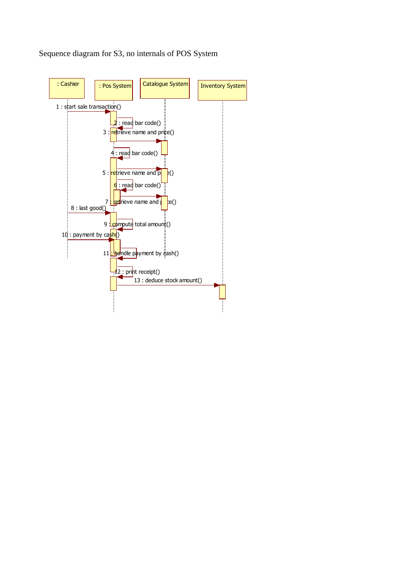

Sequence diagram for S3, no internals of POS System